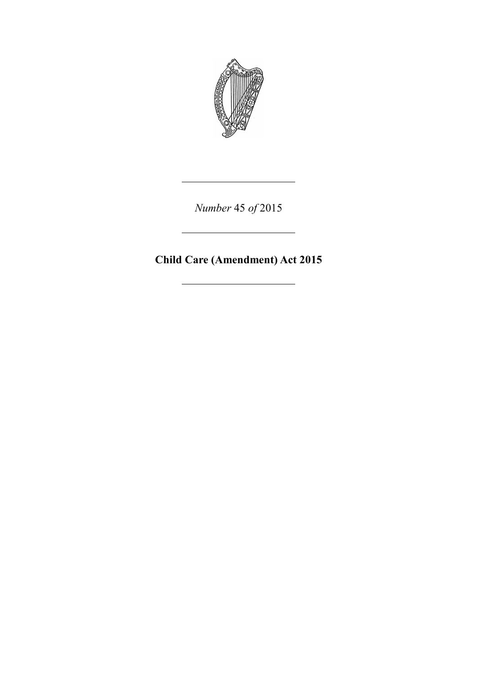

*Number* 45 *of* 2015

**Child Care (Amendment) Act 2015**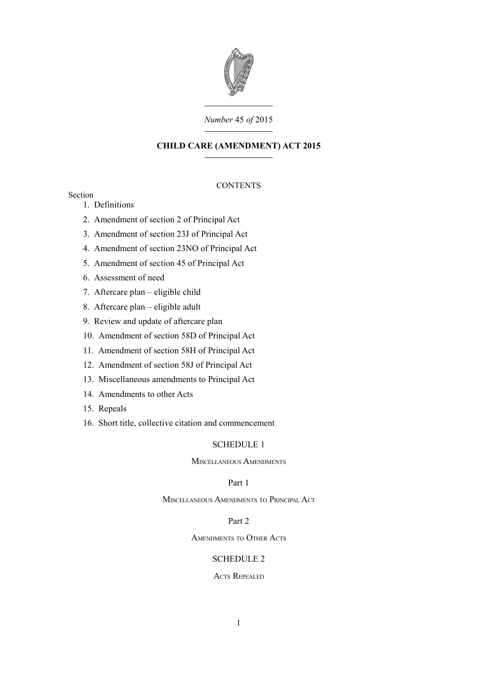

## *Number* 45 *of* 2015

# **CHILD CARE (AMENDMENT) ACT 2015**

# **CONTENTS**

# Section

- 1. [Definitions](#page-4-0)
- 2. [Amendment of section 2 of Principal Act](#page-4-1)
- 3. [Amendment of section 23J of Principal Act](#page-6-2)
- 4. [Amendment of section 23NO of Principal Act](#page-6-1)
- 5. [Amendment of section 45 of Principal Act](#page-6-0)
- 6. [Assessment of need](#page-7-0)
- 7. [Aftercare plan eligible child](#page-8-0)
- 8. [Aftercare plan eligible adult](#page-10-0)
- 9. [Review and update of aftercare plan](#page-11-0)
- 10. [Amendment of section 58D of Principal Act](#page-13-4)
- 11. [Amendment of section 58H of Principal Act](#page-13-3)
- 12. [Amendment of section 58J of Principal Act](#page-13-2)
- 13. [Miscellaneous amendments to Principal Act](#page-13-1)
- 14. [Amendments to other Acts](#page-13-0)
- 15. [Repeals](#page-14-1)
- 16. [Short title, collective citation and commencement](#page-14-0)

# [SCHEDULE 1](#page-15-3)

M[ISCELLANEOUS](#page-15-2) AMENDMENTS

# [Part 1](#page-15-1)

M[ISCELLANEOUS](#page-15-0) AMENDMENTS TO PRINCIPAL ACT

# [Part 2](#page-17-1)

A[MENDMENTS](#page-17-0) TO OTHER ACTS

## [SCHEDULE 2](#page-19-1)

## ACTS R[EPEALED](#page-19-0)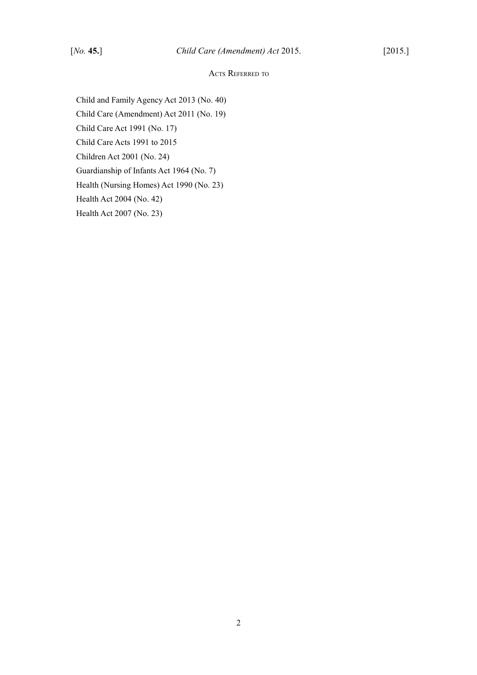# ACTS REFERRED TO

Child and Family Agency Act 2013 (No. 40) Child Care (Amendment) Act 2011 (No. 19) Child Care Act 1991 (No. 17) Child Care Acts 1991 to 2015 Children Act 2001 (No. 24) Guardianship of Infants Act 1964 (No. 7) Health (Nursing Homes) Act 1990 (No. 23) Health Act 2004 (No. 42) Health Act 2007 (No. 23)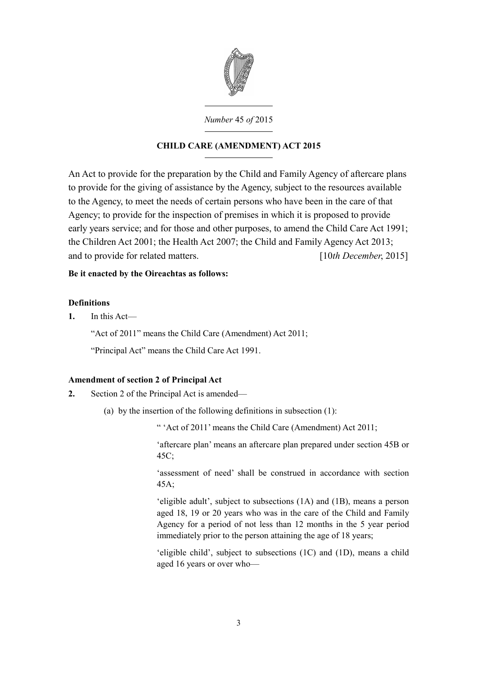

*Number* 45 *of* 2015

# **CHILD CARE (AMENDMENT) ACT 2015**

An Act to provide for the preparation by the Child and Family Agency of aftercare plans to provide for the giving of assistance by the Agency, subject to the resources available to the Agency, to meet the needs of certain persons who have been in the care of that Agency; to provide for the inspection of premises in which it is proposed to provide early years service; and for those and other purposes, to amend the [Child Care Act 199](http://www.irishstatutebook.ie/1991/en/act/pub/0017/index.html)[1;](http://www.irishstatutebook.ie/2007/en/act/pub/0023/index.html) the [Children Act 2001;](http://www.irishstatutebook.ie/2001/en/act/pub/0024/index.html) the [Health Act 2007;](http://www.irishstatutebook.ie/2007/en/act/pub/0023/index.html) the [Child and Family Agency Act 2013;](http://www.irishstatutebook.ie/2013/en/act/pub/0040/index.html) and to provide for related matters. [10*th December*, 2015]

# **Be it enacted by the Oireachtas as follows:**

# <span id="page-4-0"></span>**Definitions**

**1.** In this Act—

"Act of 2011" means the [Child Care \(Amendment\) Act 2011;](http://www.irishstatutebook.ie/2011/en/act/pub/0019/index.html)

"Principal Act" means the [Child Care Act 1991.](http://www.irishstatutebook.ie/1991/en/act/pub/0017/index.html)

# <span id="page-4-1"></span>**Amendment of section 2 of Principal Act**

- **2.** Section 2 of the Principal Act is amended—
	- (a) by the insertion of the following definitions in subsection (1):

" 'Act of 2011' means the [Child Care \(Amendment\) Act 2011;](http://www.irishstatutebook.ie/2011/en/act/pub/0019/index.html)

'aftercare plan' means an aftercare plan prepared under section 45B or 45C;

'assessment of need' shall be construed in accordance with section 45A;

'eligible adult', subject to subsections (1A) and (1B), means a person aged 18, 19 or 20 years who was in the care of the Child and Family Agency for a period of not less than 12 months in the 5 year period immediately prior to the person attaining the age of 18 years;

'eligible child', subject to subsections (1C) and (1D), means a child aged 16 years or over who—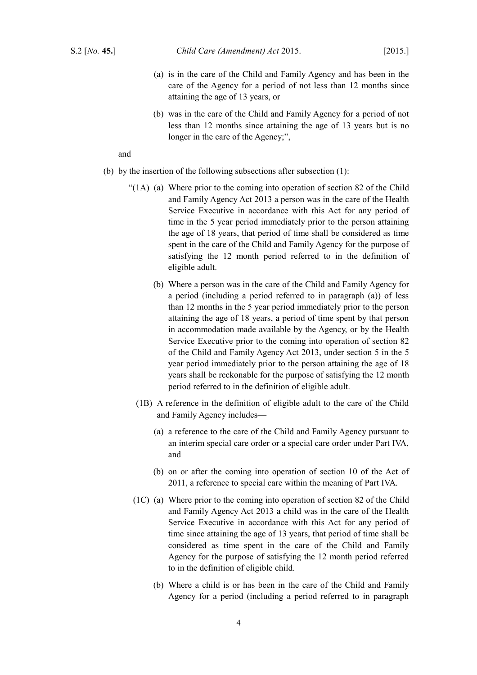- (a) is in the care of the Child and Family Agency and has been in the care of the Agency for a period of not less than 12 months since attaining the age of 13 years, or
- (b) was in the care of the Child and Family Agency for a period of not less than 12 months since attaining the age of 13 years but is no longer in the care of the Agency;",

## and

- (b) by the insertion of the following subsections after subsection  $(1)$ :
	- "( $1A$ ). (a) Where prior to the coming into operation of section 82 of the [Child](http://www.irishstatutebook.ie/2013/en/act/pub/0040/index.html) [and Family Agency Act 2013](http://www.irishstatutebook.ie/2013/en/act/pub/0040/index.html) a person was in the care of the Health Service Executive in accordance with this Act for any period of time in the 5 year period immediately prior to the person attaining the age of 18 years, that period of time shall be considered as time spent in the care of the Child and Family Agency for the purpose of satisfying the 12 month period referred to in the definition of eligible adult.
		- (b) Where a person was in the care of the Child and Family Agency for a period (including a period referred to in paragraph (a)) of less than 12 months in the 5 year period immediately prior to the person attaining the age of 18 years, a period of time spent by that person in accommodation made available by the Agency, or by the Health Service Executive prior to the coming into operation of section 82 of the [Child and Family Agency Act 2013,](http://www.irishstatutebook.ie/2013/en/act/pub/0040/index.html) under section 5 in the 5 year period immediately prior to the person attaining the age of 18 years shall be reckonable for the purpose of satisfying the 12 month period referred to in the definition of eligible adult.
		- (1B) A reference in the definition of eligible adult to the care of the Child and Family Agency includes—
			- (a) a reference to the care of the Child and Family Agency pursuant to an interim special care order or a special care order under Part IVA, and
			- (b) on or after the coming into operation of section 10 of the Act of 2011, a reference to special care within the meaning of Part IVA.
	- $(1C)$ . (a) Where prior to the coming into operation of section 82 of the [Child](http://www.irishstatutebook.ie/2013/en/act/pub/0040/index.html) [and Family Agency Act 2013](http://www.irishstatutebook.ie/2013/en/act/pub/0040/index.html) a child was in the care of the Health Service Executive in accordance with this Act for any period of time since attaining the age of 13 years, that period of time shall be considered as time spent in the care of the Child and Family Agency for the purpose of satisfying the 12 month period referred to in the definition of eligible child.
		- (b) Where a child is or has been in the care of the Child and Family Agency for a period (including a period referred to in paragraph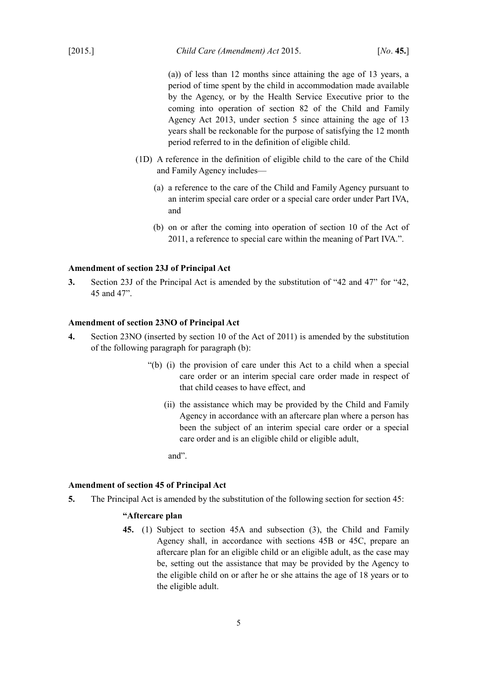(a)) of less than 12 months since attaining the age of 13 years, a period of time spent by the child in accommodation made available by the Agency, or by the Health Service Executive prior to the coming into operation of section 82 of the [Child and Family](http://www.irishstatutebook.ie/2013/en/act/pub/0040/index.html) [Agency Act 2013,](http://www.irishstatutebook.ie/2013/en/act/pub/0040/index.html) under section 5 since attaining the age of 13 years shall be reckonable for the purpose of satisfying the 12 month period referred to in the definition of eligible child.

- (1D) A reference in the definition of eligible child to the care of the Child and Family Agency includes—
	- (a) a reference to the care of the Child and Family Agency pursuant to an interim special care order or a special care order under Part IVA, and
	- (b) on or after the coming into operation of section 10 of the Act of 2011, a reference to special care within the meaning of Part IVA.".

## <span id="page-6-2"></span>**Amendment of section 23J of Principal Act**

**3.** Section 23J of the Principal Act is amended by the substitution of "42 and 47" for "42, 45 and 47".

## <span id="page-6-1"></span>**Amendment of section 23NO of Principal Act**

- **4.** Section 23NO (inserted by section 10 of the Act of 2011) is amended by the substitution of the following paragraph for paragraph (b):
	- "(b)  $(i)$  the provision of care under this Act to a child when a special care order or an interim special care order made in respect of that child ceases to have effect, and
		- (ii) the assistance which may be provided by the Child and Family Agency in accordance with an aftercare plan where a person has been the subject of an interim special care order or a special care order and is an eligible child or eligible adult,

and".

#### <span id="page-6-0"></span>**Amendment of section 45 of Principal Act**

<span id="page-6-3"></span>**5.** The Principal Act is amended by the substitution of the following section for section 45:

## **"Aftercare plan**

**45.** (1) Subject to section 45A and subsection (3), the Child and Family Agency shall, in accordance with sections 45B or 45C, prepare an aftercare plan for an eligible child or an eligible adult, as the case may be, setting out the assistance that may be provided by the Agency to the eligible child on or after he or she attains the age of 18 years or to the eligible adult.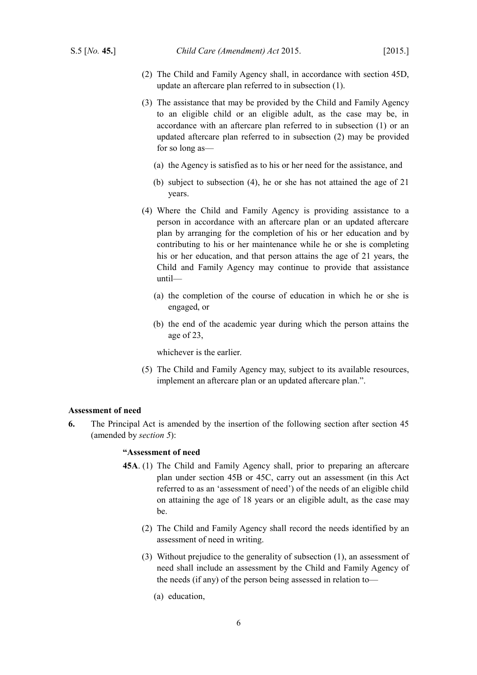- (2) The Child and Family Agency shall, in accordance with section 45D, update an aftercare plan referred to in subsection (1).
- (3) The assistance that may be provided by the Child and Family Agency to an eligible child or an eligible adult, as the case may be, in accordance with an aftercare plan referred to in subsection (1) or an updated aftercare plan referred to in subsection (2) may be provided for so long as—
	- (a) the Agency is satisfied as to his or her need for the assistance, and
	- (b) subject to subsection (4), he or she has not attained the age of 21 years.
- (4) Where the Child and Family Agency is providing assistance to a person in accordance with an aftercare plan or an updated aftercare plan by arranging for the completion of his or her education and by contributing to his or her maintenance while he or she is completing his or her education, and that person attains the age of 21 years, the Child and Family Agency may continue to provide that assistance until—
	- (a) the completion of the course of education in which he or she is engaged, or
	- (b) the end of the academic year during which the person attains the age of 23,

whichever is the earlier.

(5) The Child and Family Agency may, subject to its available resources, implement an aftercare plan or an updated aftercare plan.".

### <span id="page-7-0"></span>**Assessment of need**

<span id="page-7-1"></span>**6.** The Principal Act is amended by the insertion of the following section after section 45 (amended by *section [5](#page-6-3)*):

## **"Assessment of need**

- **45A**. (1) The Child and Family Agency shall, prior to preparing an aftercare plan under section 45B or 45C, carry out an assessment (in this Act referred to as an 'assessment of need') of the needs of an eligible child on attaining the age of 18 years or an eligible adult, as the case may be.
	- (2) The Child and Family Agency shall record the needs identified by an assessment of need in writing.
	- (3) Without prejudice to the generality of subsection (1), an assessment of need shall include an assessment by the Child and Family Agency of the needs (if any) of the person being assessed in relation to—
		- (a) education,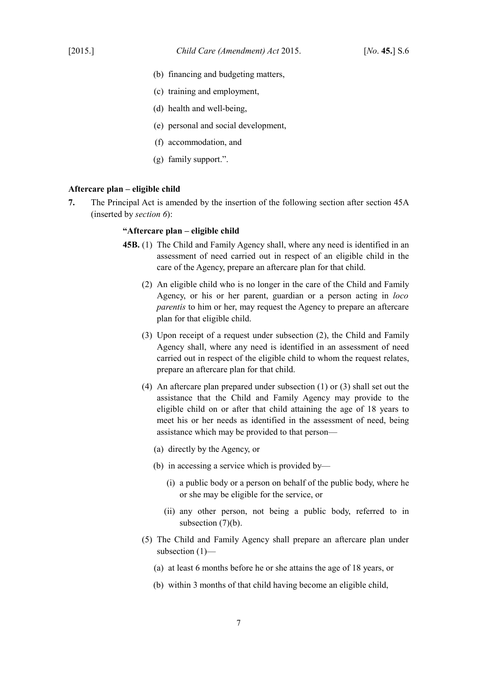- (b) financing and budgeting matters,
- (c) training and employment,
- (d) health and well-being,
- (e) personal and social development,
- (f) accommodation, and
- (g) family support.".

#### <span id="page-8-0"></span>**Aftercare plan – eligible child**

<span id="page-8-1"></span>**7.** The Principal Act is amended by the insertion of the following section after section 45A (inserted by *section [6](#page-7-1)*):

#### **"Aftercare plan – eligible child**

- **45B.** (1) The Child and Family Agency shall, where any need is identified in an assessment of need carried out in respect of an eligible child in the care of the Agency, prepare an aftercare plan for that child.
	- (2) An eligible child who is no longer in the care of the Child and Family Agency, or his or her parent, guardian or a person acting in *loco parentis* to him or her, may request the Agency to prepare an aftercare plan for that eligible child.
	- (3) Upon receipt of a request under subsection (2), the Child and Family Agency shall, where any need is identified in an assessment of need carried out in respect of the eligible child to whom the request relates, prepare an aftercare plan for that child.
	- (4) An aftercare plan prepared under subsection (1) or (3) shall set out the assistance that the Child and Family Agency may provide to the eligible child on or after that child attaining the age of 18 years to meet his or her needs as identified in the assessment of need, being assistance which may be provided to that person—
		- (a) directly by the Agency, or
		- (b) in accessing a service which is provided by—
			- (i) a public body or a person on behalf of the public body, where he or she may be eligible for the service, or
			- (ii) any other person, not being a public body, referred to in subsection  $(7)(b)$ .
	- (5) The Child and Family Agency shall prepare an aftercare plan under subsection (1)—
		- (a) at least 6 months before he or she attains the age of 18 years, or
		- (b) within 3 months of that child having become an eligible child,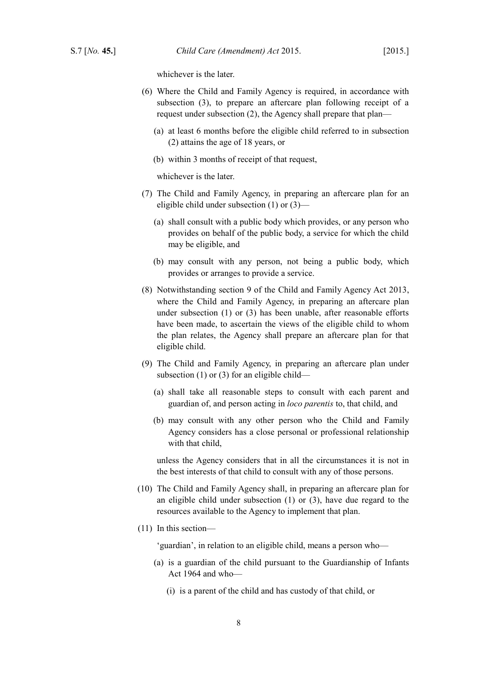whichever is the later.

- (6) Where the Child and Family Agency is required, in accordance with subsection (3), to prepare an aftercare plan following receipt of a request under subsection (2), the Agency shall prepare that plan—
	- (a) at least 6 months before the eligible child referred to in subsection (2) attains the age of 18 years, or
	- (b) within 3 months of receipt of that request,

whichever is the later.

- (7) The Child and Family Agency, in preparing an aftercare plan for an eligible child under subsection (1) or (3)—
	- (a) shall consult with a public body which provides, or any person who provides on behalf of the public body, a service for which the child may be eligible, and
	- (b) may consult with any person, not being a public body, which provides or arranges to provide a service.
- (8) Notwithstanding section 9 of the [Child and Family Agency Act 2013,](http://www.irishstatutebook.ie/2013/en/act/pub/0040/index.html) where the Child and Family Agency, in preparing an aftercare plan under subsection (1) or (3) has been unable, after reasonable efforts have been made, to ascertain the views of the eligible child to whom the plan relates, the Agency shall prepare an aftercare plan for that eligible child.
- (9) The Child and Family Agency, in preparing an aftercare plan under subsection (1) or (3) for an eligible child—
	- (a) shall take all reasonable steps to consult with each parent and guardian of, and person acting in *loco parentis* to, that child, and
	- (b) may consult with any other person who the Child and Family Agency considers has a close personal or professional relationship with that child,

unless the Agency considers that in all the circumstances it is not in the best interests of that child to consult with any of those persons.

- (10) The Child and Family Agency shall, in preparing an aftercare plan for an eligible child under subsection (1) or (3), have due regard to the resources available to the Agency to implement that plan.
- (11) In this section—

'guardian', in relation to an eligible child, means a person who—

- (a) is a guardian of the child pursuant to the [Guardianship of Infants](http://www.irishstatutebook.ie/1964/en/act/pub/0007/index.html) [Act 1964](http://www.irishstatutebook.ie/1964/en/act/pub/0007/index.html) and who—
	- (i) is a parent of the child and has custody of that child, or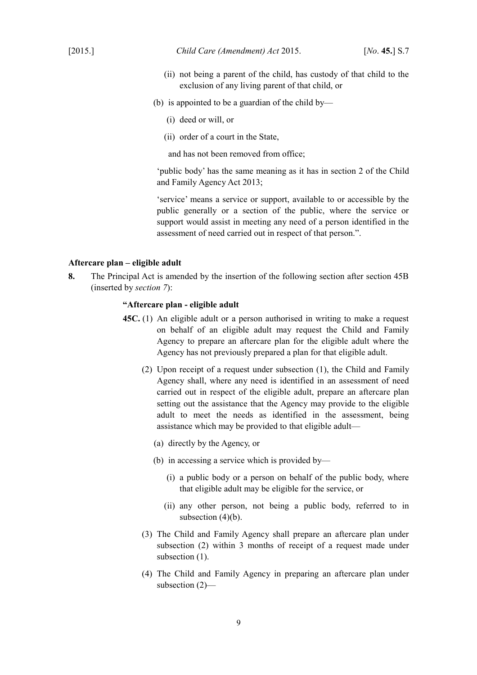- (ii) not being a parent of the child, has custody of that child to the exclusion of any living parent of that child, or
- (b) is appointed to be a guardian of the child by—
	- (i) deed or will, or
	- (ii) order of a court in the State,

and has not been removed from office;

'public body' has the same meaning as it has in section 2 of the [Child](http://www.irishstatutebook.ie/2013/en/act/pub/0040/index.html) [and Family Agency Act 2013;](http://www.irishstatutebook.ie/2013/en/act/pub/0040/index.html)

'service' means a service or support, available to or accessible by the public generally or a section of the public, where the service or support would assist in meeting any need of a person identified in the assessment of need carried out in respect of that person.".

## <span id="page-10-0"></span>**Aftercare plan – eligible adult**

<span id="page-10-1"></span>**8.** The Principal Act is amended by the insertion of the following section after section 45B (inserted by *section [7](#page-8-1)*):

#### **"Aftercare plan - eligible adult**

- **45C.** (1) An eligible adult or a person authorised in writing to make a request on behalf of an eligible adult may request the Child and Family Agency to prepare an aftercare plan for the eligible adult where the Agency has not previously prepared a plan for that eligible adult.
	- (2) Upon receipt of a request under subsection (1), the Child and Family Agency shall, where any need is identified in an assessment of need carried out in respect of the eligible adult, prepare an aftercare plan setting out the assistance that the Agency may provide to the eligible adult to meet the needs as identified in the assessment, being assistance which may be provided to that eligible adult—
		- (a) directly by the Agency, or
		- (b) in accessing a service which is provided by—
			- (i) a public body or a person on behalf of the public body, where that eligible adult may be eligible for the service, or
			- (ii) any other person, not being a public body, referred to in subsection  $(4)(b)$ .
	- (3) The Child and Family Agency shall prepare an aftercare plan under subsection (2) within 3 months of receipt of a request made under subsection (1).
	- (4) The Child and Family Agency in preparing an aftercare plan under subsection (2)—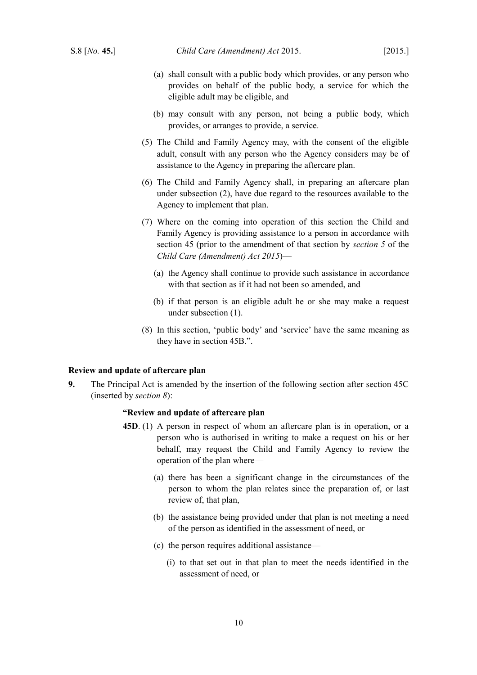- (a) shall consult with a public body which provides, or any person who provides on behalf of the public body, a service for which the eligible adult may be eligible, and
- (b) may consult with any person, not being a public body, which provides, or arranges to provide, a service.
- (5) The Child and Family Agency may, with the consent of the eligible adult, consult with any person who the Agency considers may be of assistance to the Agency in preparing the aftercare plan.
- (6) The Child and Family Agency shall, in preparing an aftercare plan under subsection (2), have due regard to the resources available to the Agency to implement that plan.
- (7) Where on the coming into operation of this section the Child and Family Agency is providing assistance to a person in accordance with section 45 (prior to the amendment of that section by *section [5](#page-6-3)* of the *Child Care (Amendment) Act 2015*)—
	- (a) the Agency shall continue to provide such assistance in accordance with that section as if it had not been so amended, and
	- (b) if that person is an eligible adult he or she may make a request under subsection (1).
- (8) In this section, 'public body' and 'service' have the same meaning as they have in section 45B.".

#### <span id="page-11-0"></span>**Review and update of aftercare plan**

**9.** The Principal Act is amended by the insertion of the following section after section 45C (inserted by *section [8](#page-10-1)*):

## **"Review and update of aftercare plan**

- **45D**. (1) A person in respect of whom an aftercare plan is in operation, or a person who is authorised in writing to make a request on his or her behalf, may request the Child and Family Agency to review the operation of the plan where—
	- (a) there has been a significant change in the circumstances of the person to whom the plan relates since the preparation of, or last review of, that plan,
	- (b) the assistance being provided under that plan is not meeting a need of the person as identified in the assessment of need, or
	- (c) the person requires additional assistance—
		- (i) to that set out in that plan to meet the needs identified in the assessment of need, or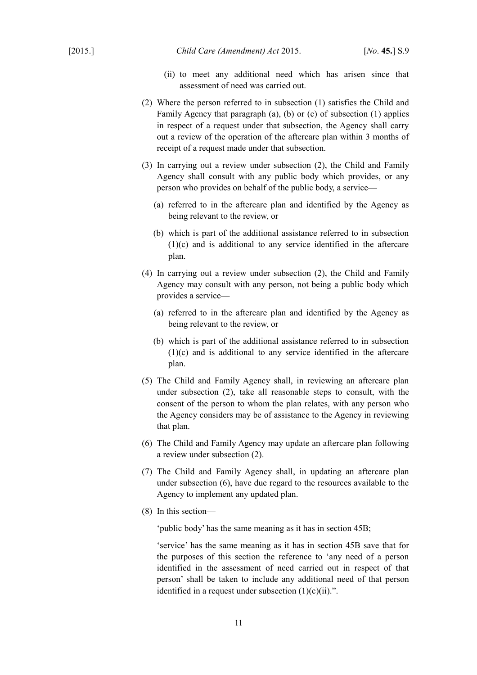- (ii) to meet any additional need which has arisen since that assessment of need was carried out.
- (2) Where the person referred to in subsection (1) satisfies the Child and Family Agency that paragraph (a), (b) or (c) of subsection (1) applies in respect of a request under that subsection, the Agency shall carry out a review of the operation of the aftercare plan within 3 months of receipt of a request made under that subsection.
- (3) In carrying out a review under subsection (2), the Child and Family Agency shall consult with any public body which provides, or any person who provides on behalf of the public body, a service—
	- (a) referred to in the aftercare plan and identified by the Agency as being relevant to the review, or
	- (b) which is part of the additional assistance referred to in subsection (1)(c) and is additional to any service identified in the aftercare plan.
- (4) In carrying out a review under subsection (2), the Child and Family Agency may consult with any person, not being a public body which provides a service—
	- (a) referred to in the aftercare plan and identified by the Agency as being relevant to the review, or
	- (b) which is part of the additional assistance referred to in subsection (1)(c) and is additional to any service identified in the aftercare plan.
- (5) The Child and Family Agency shall, in reviewing an aftercare plan under subsection (2), take all reasonable steps to consult, with the consent of the person to whom the plan relates, with any person who the Agency considers may be of assistance to the Agency in reviewing that plan.
- (6) The Child and Family Agency may update an aftercare plan following a review under subsection (2).
- (7) The Child and Family Agency shall, in updating an aftercare plan under subsection (6), have due regard to the resources available to the Agency to implement any updated plan.
- (8) In this section—

'public body' has the same meaning as it has in section 45B;

'service' has the same meaning as it has in section 45B save that for the purposes of this section the reference to 'any need of a person identified in the assessment of need carried out in respect of that person' shall be taken to include any additional need of that person identified in a request under subsection  $(1)(c)(ii)$ .".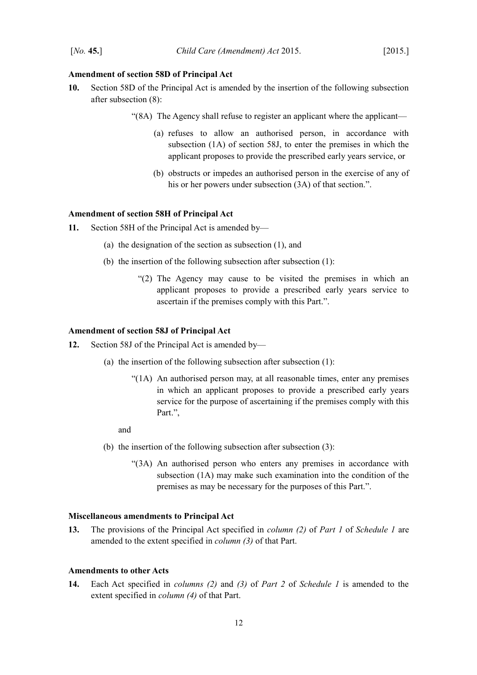## <span id="page-13-4"></span>**Amendment of section 58D of Principal Act**

- **10.** Section 58D of the Principal Act is amended by the insertion of the following subsection after subsection (8):
	- "(8A) The Agency shall refuse to register an applicant where the applicant—
		- (a) refuses to allow an authorised person, in accordance with subsection (1A) of section 58J, to enter the premises in which the applicant proposes to provide the prescribed early years service, or
		- (b) obstructs or impedes an authorised person in the exercise of any of his or her powers under subsection  $(3A)$  of that section.".

## <span id="page-13-3"></span>**Amendment of section 58H of Principal Act**

**11.** Section 58H of the Principal Act is amended by—

- (a) the designation of the section as subsection (1), and
- (b) the insertion of the following subsection after subsection (1):
	- "(2) The Agency may cause to be visited the premises in which an applicant proposes to provide a prescribed early years service to ascertain if the premises comply with this Part.".

#### <span id="page-13-2"></span>**Amendment of section 58J of Principal Act**

**12.** Section 58J of the Principal Act is amended by—

- (a) the insertion of the following subsection after subsection (1):
	- "(1A) An authorised person may, at all reasonable times, enter any premises in which an applicant proposes to provide a prescribed early years service for the purpose of ascertaining if the premises comply with this Part.",

and

- (b) the insertion of the following subsection after subsection (3):
	- "(3A) An authorised person who enters any premises in accordance with subsection (1A) may make such examination into the condition of the premises as may be necessary for the purposes of this Part.".

#### <span id="page-13-1"></span>**Miscellaneous amendments to Principal Act**

<span id="page-13-6"></span>**13.** The provisions of the Principal Act specified in *column (2)* of *Part [1](#page-15-5)* of *Schedule [1](#page-15-4)* are amended to the extent specified in *column (3)* of that Part.

#### <span id="page-13-0"></span>**Amendments to other Acts**

<span id="page-13-5"></span>**14.** Each Act specified in *columns (2)* and *(3)* of *Part [2](#page-17-2)* of *Schedule [1](#page-15-4)* is amended to the extent specified in *column (4)* of that Part.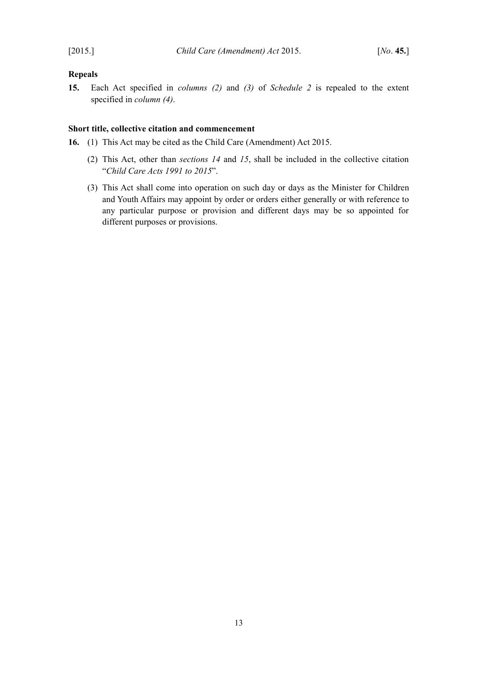# <span id="page-14-1"></span>**Repeals**

<span id="page-14-2"></span>**15.** Each Act specified in *columns (2)* and *(3)* of *Schedule [2](#page-19-2)* is repealed to the extent specified in *column (4)*.

# <span id="page-14-0"></span>**Short title, collective citation and commencement**

- **16.** (1) This Act may be cited as the Child Care (Amendment) Act 2015.
	- (2) This Act, other than *sections [14](#page-13-5)* and *[15](#page-14-2)*, shall be included in the collective citation "*Child Care Acts 1991 to 2015*".
	- (3) This Act shall come into operation on such day or days as the Minister for Children and Youth Affairs may appoint by order or orders either generally or with reference to any particular purpose or provision and different days may be so appointed for different purposes or provisions.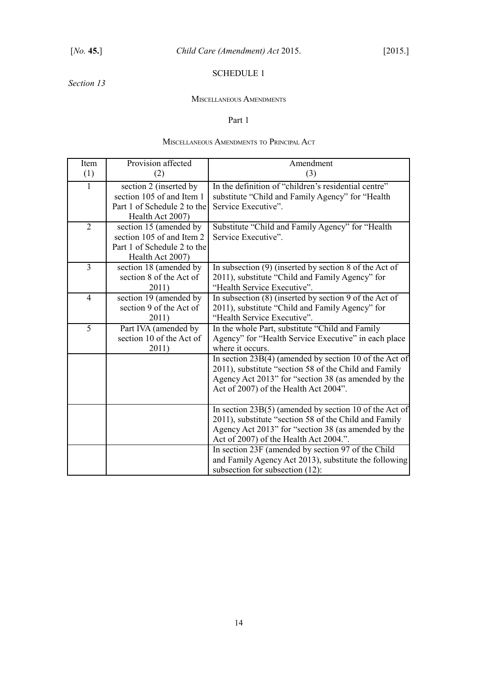# <span id="page-15-4"></span><span id="page-15-3"></span>SCHEDULE 1

# *Section [13](#page-13-6)*

#### <span id="page-15-2"></span>MISCELLANEOUS AMENDMENTS

## <span id="page-15-5"></span><span id="page-15-1"></span>Part 1

# <span id="page-15-0"></span>MISCELLANEOUS AMENDMENTS TO PRINCIPAL ACT

| Item           | Provision affected                                                                                     | Amendment                                                                                                                                                                                                                                                                                                                                                            |
|----------------|--------------------------------------------------------------------------------------------------------|----------------------------------------------------------------------------------------------------------------------------------------------------------------------------------------------------------------------------------------------------------------------------------------------------------------------------------------------------------------------|
| (1)            | (2)                                                                                                    | (3)                                                                                                                                                                                                                                                                                                                                                                  |
| $\mathbf{1}$   | section 2 (inserted by<br>section 105 of and Item 1<br>Part 1 of Schedule 2 to the<br>Health Act 2007) | In the definition of "children's residential centre"<br>substitute "Child and Family Agency" for "Health<br>Service Executive".                                                                                                                                                                                                                                      |
| $\overline{2}$ | section 15 (amended by<br>section 105 of and Item 2<br>Part 1 of Schedule 2 to the<br>Health Act 2007) | Substitute "Child and Family Agency" for "Health<br>Service Executive".                                                                                                                                                                                                                                                                                              |
| $\overline{3}$ | section 18 (amended by<br>section 8 of the Act of<br>2011)                                             | In subsection $(9)$ (inserted by section 8 of the Act of<br>2011), substitute "Child and Family Agency" for<br>"Health Service Executive".                                                                                                                                                                                                                           |
| $\overline{4}$ | section 19 (amended by<br>section 9 of the Act of<br>2011)                                             | In subsection $(8)$ (inserted by section 9 of the Act of<br>2011), substitute "Child and Family Agency" for<br>"Health Service Executive".                                                                                                                                                                                                                           |
| $\overline{5}$ | Part IVA (amended by<br>section 10 of the Act of<br>2011)                                              | In the whole Part, substitute "Child and Family<br>Agency" for "Health Service Executive" in each place<br>where it occurs.<br>In section 23B(4) (amended by section 10 of the Act of<br>2011), substitute "section 58 of the Child and Family<br>Agency Act 2013" for "section 38 (as amended by the<br>Act of 2007) of the Health Act 2004".                       |
|                |                                                                                                        | In section $23B(5)$ (amended by section 10 of the Act of<br>2011), substitute "section 58 of the Child and Family<br>Agency Act 2013" for "section 38 (as amended by the<br>Act of 2007) of the Health Act 2004.".<br>In section 23F (amended by section 97 of the Child<br>and Family Agency Act 2013), substitute the following<br>subsection for subsection (12): |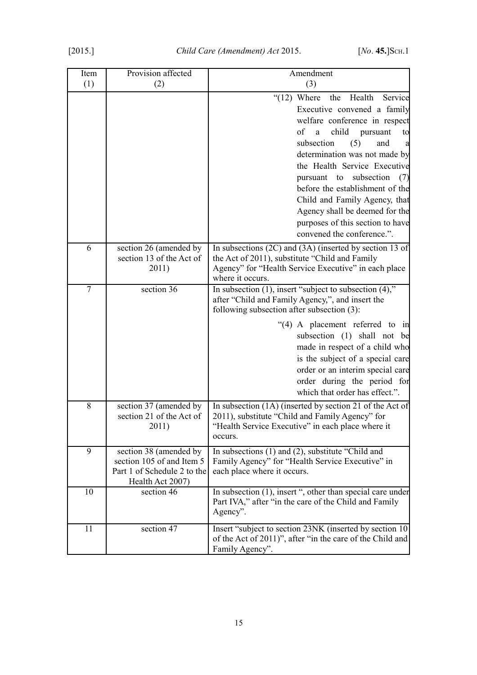| Item           | Provision affected                                                                                     | Amendment                                                                                                                                                                                                                                                                                                                                                                                                                        |
|----------------|--------------------------------------------------------------------------------------------------------|----------------------------------------------------------------------------------------------------------------------------------------------------------------------------------------------------------------------------------------------------------------------------------------------------------------------------------------------------------------------------------------------------------------------------------|
| (1)            | (2)                                                                                                    | (3)                                                                                                                                                                                                                                                                                                                                                                                                                              |
|                |                                                                                                        | $\degree$ (12) Where the<br>Health<br>Service<br>Executive convened a family<br>welfare conference in respect<br>of<br>child pursuant<br>a<br>to<br>subsection<br>(5)<br>and<br>a<br>determination was not made by<br>the Health Service Executive<br>subsection<br>pursuant to<br>(7)<br>before the establishment of the<br>Child and Family Agency, that<br>Agency shall be deemed for the<br>purposes of this section to have |
|                |                                                                                                        | convened the conference.".                                                                                                                                                                                                                                                                                                                                                                                                       |
| 6              | section 26 (amended by<br>section 13 of the Act of<br>2011)                                            | In subsections $(2C)$ and $(3A)$ (inserted by section 13 of<br>the Act of 2011), substitute "Child and Family<br>Agency" for "Health Service Executive" in each place<br>where it occurs.                                                                                                                                                                                                                                        |
| $\overline{7}$ | section 36                                                                                             | In subsection $(1)$ , insert "subject to subsection $(4)$ ,"<br>after "Child and Family Agency,", and insert the<br>following subsection after subsection (3):<br>"(4) A placement referred to in<br>subsection (1) shall not be<br>made in respect of a child who<br>is the subject of a special care<br>order or an interim special care<br>order during the period for<br>which that order has effect.".                      |
| 8              | section 37 (amended by<br>section 21 of the Act of<br>2011)                                            | In subsection $(1A)$ (inserted by section $\overline{21}$ of the Act of<br>2011), substitute "Child and Family Agency" for<br>"Health Service Executive" in each place where it<br>occurs.                                                                                                                                                                                                                                       |
| 9              | section 38 (amended by<br>section 105 of and Item 5<br>Part 1 of Schedule 2 to the<br>Health Act 2007) | In subsections $(1)$ and $(2)$ , substitute "Child and<br>Family Agency" for "Health Service Executive" in<br>each place where it occurs.                                                                                                                                                                                                                                                                                        |
| 10             | section 46                                                                                             | In subsection (1), insert ", other than special care under<br>Part IVA," after "in the care of the Child and Family<br>Agency".                                                                                                                                                                                                                                                                                                  |
| 11             | section 47                                                                                             | Insert "subject to section 23NK (inserted by section 10)<br>of the Act of 2011)", after "in the care of the Child and<br>Family Agency".                                                                                                                                                                                                                                                                                         |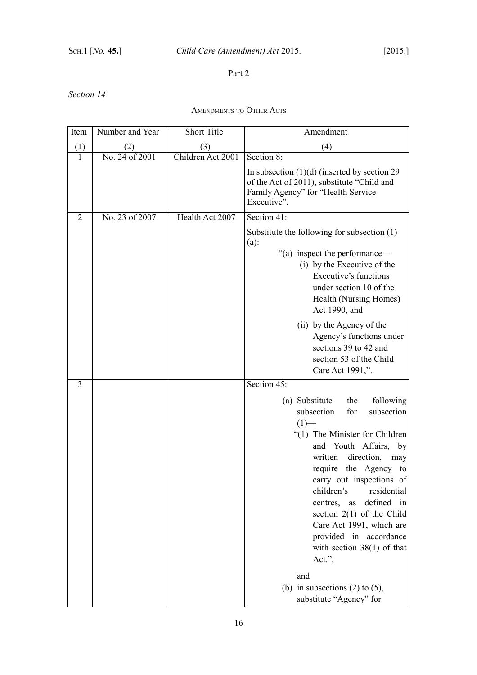# <span id="page-17-2"></span><span id="page-17-1"></span>Part 2

# *Section [14](#page-13-5)*

<span id="page-17-0"></span>AMENDMENTS TO OTHER ACTS

| Item           | Number and Year | <b>Short Title</b> | Amendment                                                                                                                                                                                                                                                                                                                                                                                                                           |
|----------------|-----------------|--------------------|-------------------------------------------------------------------------------------------------------------------------------------------------------------------------------------------------------------------------------------------------------------------------------------------------------------------------------------------------------------------------------------------------------------------------------------|
| (1)            | (2)             | (3)                | (4)                                                                                                                                                                                                                                                                                                                                                                                                                                 |
| $\mathbf{1}$   | No. 24 of 2001  | Children Act 2001  | Section $8$ :                                                                                                                                                                                                                                                                                                                                                                                                                       |
|                |                 |                    | In subsection $(1)(d)$ (inserted by section 29<br>of the Act of 2011), substitute "Child and<br>Family Agency" for "Health Service<br>Executive".                                                                                                                                                                                                                                                                                   |
| $\overline{2}$ | No. 23 of 2007  | Health Act 2007    | Section 41:                                                                                                                                                                                                                                                                                                                                                                                                                         |
|                |                 |                    | Substitute the following for subsection $(1)$<br>$(a)$ :<br>"(a) inspect the performance—<br>(i) by the Executive of the<br>Executive's functions<br>under section 10 of the<br>Health (Nursing Homes)<br>Act 1990, and                                                                                                                                                                                                             |
|                |                 |                    | (ii) by the Agency of the<br>Agency's functions under<br>sections 39 to 42 and<br>section 53 of the Child<br>Care Act 1991,".                                                                                                                                                                                                                                                                                                       |
| $\overline{3}$ |                 |                    | Section 45:                                                                                                                                                                                                                                                                                                                                                                                                                         |
|                |                 |                    | following<br>(a) Substitute<br>the<br>subsection<br>subsection<br>for<br>$(1)$ —<br>"(1) The Minister for Children<br>Youth Affairs, by<br>and<br>direction,<br>written<br>may<br>require the Agency to<br>carry out inspections of<br>children's<br>residential<br>defined in<br>centres, as<br>section $2(1)$ of the Child<br>Care Act 1991, which are<br>provided in accordance<br>with section $38(1)$ of that<br>Act.",<br>and |
|                |                 |                    | (b) in subsections $(2)$ to $(5)$ ,<br>substitute "Agency" for                                                                                                                                                                                                                                                                                                                                                                      |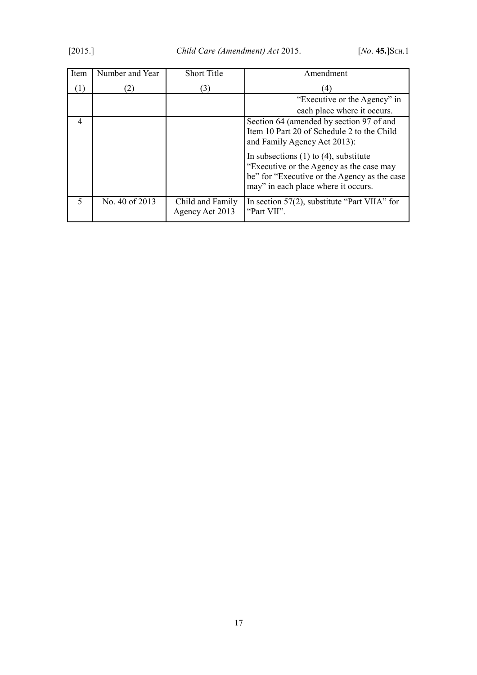| Item           | Number and Year | <b>Short Title</b>                  | Amendment                                                                                                                                                                      |
|----------------|-----------------|-------------------------------------|--------------------------------------------------------------------------------------------------------------------------------------------------------------------------------|
| (1)            | 2)              | (3)                                 | (4)                                                                                                                                                                            |
|                |                 |                                     | "Executive or the Agency" in                                                                                                                                                   |
|                |                 |                                     | each place where it occurs.                                                                                                                                                    |
| $\overline{4}$ |                 |                                     | Section 64 (amended by section 97 of and<br>Item 10 Part 20 of Schedule 2 to the Child<br>and Family Agency Act 2013):                                                         |
|                |                 |                                     | In subsections $(1)$ to $(4)$ , substitute<br>"Executive or the Agency as the case may<br>be" for "Executive or the Agency as the case"<br>may" in each place where it occurs. |
| 5              | No. 40 of 2013  | Child and Family<br>Agency Act 2013 | In section $57(2)$ , substitute "Part VIIA" for<br>"Part VII".                                                                                                                 |